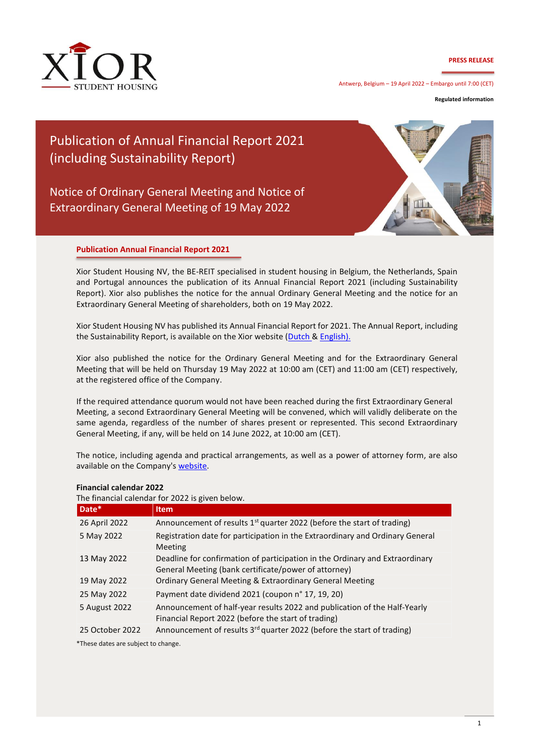### **PRESS RELEASE**



Antwerp, Belgium – 19 April 2022 – Embargo until 7:00 (CET)

**Regulated information**

## Publication of Annual Financial Report 2021 (including Sustainability Report)

## Notice of Ordinary General Meeting and Notice of Extraordinary General Meeting of 19 May 2022



### **Publication Annual Financial Report 2021**

Xior Student Housing NV, the BE-REIT specialised in student housing in Belgium, the Netherlands, Spain and Portugal announces the publication of its Annual Financial Report 2021 (including Sustainability Report). Xior also publishes the notice for the annual Ordinary General Meeting and the notice for an Extraordinary General Meeting of shareholders, both on 19 May 2022.

Xior Student Housing NV has published its Annual Financial Report for 2021. The Annual Report, including the Sustainability Report, is available on the Xior website [\(Dutch &](https://www.xior.be/nl/investor/investor-relations/publications/annual-financial-reports) [English\).](https://www.xior.be/en/investor/investor-relations/publications/annual-financial-reports)

Xior also published the notice for the Ordinary General Meeting and for the Extraordinary General Meeting that will be held on Thursday 19 May 2022 at 10:00 am (CET) and 11:00 am (CET) respectively, at the registered office of the Company.

If the required attendance quorum would not have been reached during the first Extraordinary General Meeting, a second Extraordinary General Meeting will be convened, which will validly deliberate on the same agenda, regardless of the number of shares present or represented. This second Extraordinary General Meeting, if any, will be held on 14 June 2022, at 10:00 am (CET).

The notice, including agenda and practical arrangements, as well as a power of attorney form, are also available on the Company'[s website.](https://www.xior.be/en/investor/investor-relations/general-meeting/)

| Date*           | <b>Item</b>                                                                                                                          |
|-----------------|--------------------------------------------------------------------------------------------------------------------------------------|
| 26 April 2022   | Announcement of results 1 <sup>st</sup> quarter 2022 (before the start of trading)                                                   |
| 5 May 2022      | Registration date for participation in the Extraordinary and Ordinary General<br>Meeting                                             |
| 13 May 2022     | Deadline for confirmation of participation in the Ordinary and Extraordinary<br>General Meeting (bank certificate/power of attorney) |
| 19 May 2022     | Ordinary General Meeting & Extraordinary General Meeting                                                                             |
| 25 May 2022     | Payment date dividend 2021 (coupon n° 17, 19, 20)                                                                                    |
| 5 August 2022   | Announcement of half-year results 2022 and publication of the Half-Yearly<br>Financial Report 2022 (before the start of trading)     |
| 25 October 2022 | Announcement of results 3 <sup>rd</sup> quarter 2022 (before the start of trading)                                                   |

### **Financial calendar 2022**

The financial calendar for 2022 is given below.

\*These dates are subject to change.